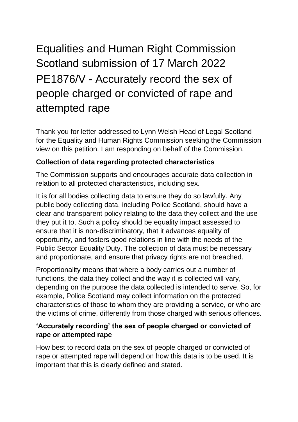## Equalities and Human Right Commission Scotland submission of 17 March 2022 PE1876/V - Accurately record the sex of people charged or convicted of rape and attempted rape

Thank you for letter addressed to Lynn Welsh Head of Legal Scotland for the Equality and Human Rights Commission seeking the Commission view on this petition. I am responding on behalf of the Commission.

## **Collection of data regarding protected characteristics**

The Commission supports and encourages accurate data collection in relation to all protected characteristics, including sex.

It is for all bodies collecting data to ensure they do so lawfully. Any public body collecting data, including Police Scotland, should have a clear and transparent policy relating to the data they collect and the use they put it to. Such a policy should be equality impact assessed to ensure that it is non-discriminatory, that it advances equality of opportunity, and fosters good relations in line with the needs of the Public Sector Equality Duty. The collection of data must be necessary and proportionate, and ensure that privacy rights are not breached.

Proportionality means that where a body carries out a number of functions, the data they collect and the way it is collected will vary, depending on the purpose the data collected is intended to serve. So, for example, Police Scotland may collect information on the protected characteristics of those to whom they are providing a service, or who are the victims of crime, differently from those charged with serious offences.

## **'Accurately recording' the sex of people charged or convicted of rape or attempted rape**

How best to record data on the sex of people charged or convicted of rape or attempted rape will depend on how this data is to be used. It is important that this is clearly defined and stated.